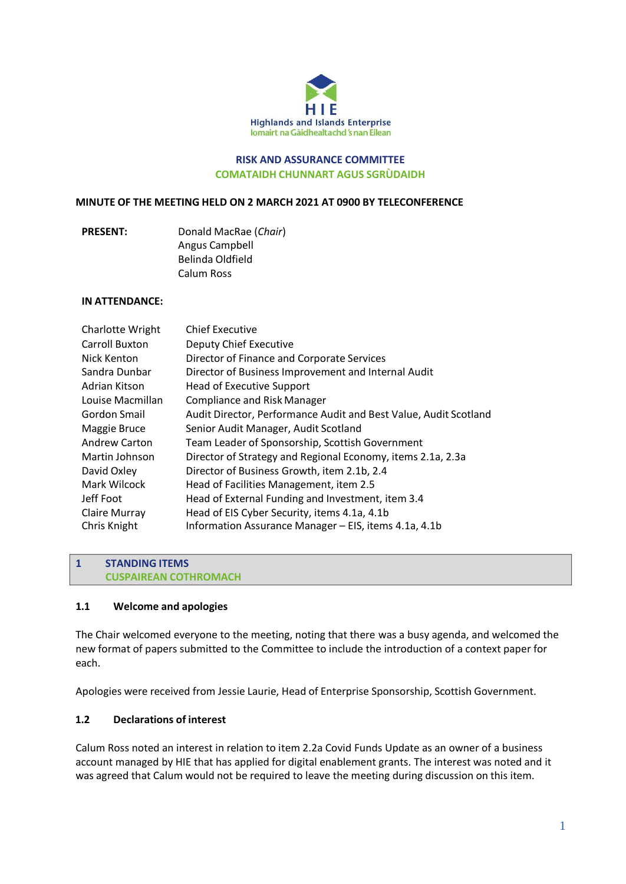

#### **RISK AND ASSURANCE COMMITTEE COMATAIDH CHUNNART AGUS SGRÙDAIDH**

#### **MINUTE OF THE MEETING HELD ON 2 MARCH 2021 AT 0900 BY TELECONFERENCE**

**PRESENT:** Donald MacRae (*Chair*) Angus Campbell Belinda Oldfield Calum Ross

#### **IN ATTENDANCE:**

| <b>Chief Executive</b>                                           |
|------------------------------------------------------------------|
| <b>Deputy Chief Executive</b>                                    |
| Director of Finance and Corporate Services                       |
| Director of Business Improvement and Internal Audit              |
| <b>Head of Executive Support</b>                                 |
| <b>Compliance and Risk Manager</b>                               |
| Audit Director, Performance Audit and Best Value, Audit Scotland |
| Senior Audit Manager, Audit Scotland                             |
| Team Leader of Sponsorship, Scottish Government                  |
| Director of Strategy and Regional Economy, items 2.1a, 2.3a      |
| Director of Business Growth, item 2.1b, 2.4                      |
| Head of Facilities Management, item 2.5                          |
| Head of External Funding and Investment, item 3.4                |
| Head of EIS Cyber Security, items 4.1a, 4.1b                     |
| Information Assurance Manager – EIS, items 4.1a, 4.1b            |
|                                                                  |

#### **1 STANDING ITEMS CUSPAIREAN COTHROMACH**

#### **1.1 Welcome and apologies**

The Chair welcomed everyone to the meeting, noting that there was a busy agenda, and welcomed the new format of papers submitted to the Committee to include the introduction of a context paper for each.

Apologies were received from Jessie Laurie, Head of Enterprise Sponsorship, Scottish Government.

### **1.2 Declarations of interest**

Calum Ross noted an interest in relation to item 2.2a Covid Funds Update as an owner of a business account managed by HIE that has applied for digital enablement grants. The interest was noted and it was agreed that Calum would not be required to leave the meeting during discussion on this item.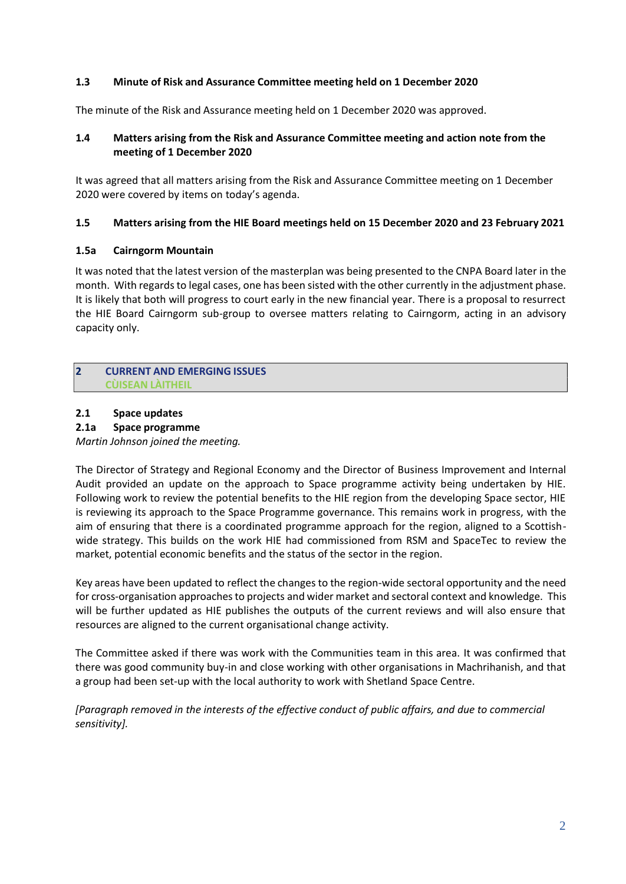### **1.3 Minute of Risk and Assurance Committee meeting held on 1 December 2020**

The minute of the Risk and Assurance meeting held on 1 December 2020 was approved.

### **1.4 Matters arising from the Risk and Assurance Committee meeting and action note from the meeting of 1 December 2020**

It was agreed that all matters arising from the Risk and Assurance Committee meeting on 1 December 2020 were covered by items on today's agenda.

#### **1.5 Matters arising from the HIE Board meetings held on 15 December 2020 and 23 February 2021**

#### **1.5a Cairngorm Mountain**

It was noted that the latest version of the masterplan was being presented to the CNPA Board later in the month. With regards to legal cases, one has been sisted with the other currently in the adjustment phase. It is likely that both will progress to court early in the new financial year. There is a proposal to resurrect the HIE Board Cairngorm sub-group to oversee matters relating to Cairngorm, acting in an advisory capacity only.

### **2 CURRENT AND EMERGING ISSUES CÙISEAN LÀITHEIL**

#### **2.1 Space updates**

#### **2.1a Space programme**

*Martin Johnson joined the meeting.*

The Director of Strategy and Regional Economy and the Director of Business Improvement and Internal Audit provided an update on the approach to Space programme activity being undertaken by HIE. Following work to review the potential benefits to the HIE region from the developing Space sector, HIE is reviewing its approach to the Space Programme governance. This remains work in progress, with the aim of ensuring that there is a coordinated programme approach for the region, aligned to a Scottishwide strategy. This builds on the work HIE had commissioned from RSM and SpaceTec to review the market, potential economic benefits and the status of the sector in the region.

Key areas have been updated to reflect the changes to the region-wide sectoral opportunity and the need for cross-organisation approachesto projects and wider market and sectoral context and knowledge. This will be further updated as HIE publishes the outputs of the current reviews and will also ensure that resources are aligned to the current organisational change activity.

The Committee asked if there was work with the Communities team in this area. It was confirmed that there was good community buy-in and close working with other organisations in Machrihanish, and that a group had been set-up with the local authority to work with Shetland Space Centre.

*[Paragraph removed in the interests of the effective conduct of public affairs, and due to commercial sensitivity].*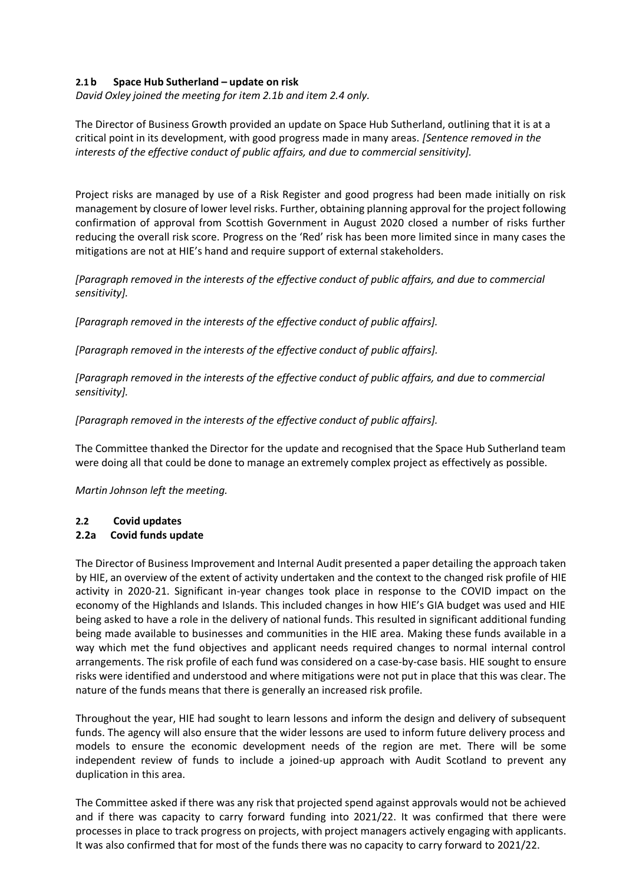### **2.1 b Space Hub Sutherland – update on risk**

*David Oxley joined the meeting for item 2.1b and item 2.4 only.*

The Director of Business Growth provided an update on Space Hub Sutherland, outlining that it is at a critical point in its development, with good progress made in many areas. *[Sentence removed in the interests of the effective conduct of public affairs, and due to commercial sensitivity].* 

Project risks are managed by use of a Risk Register and good progress had been made initially on risk management by closure of lower level risks. Further, obtaining planning approval for the project following confirmation of approval from Scottish Government in August 2020 closed a number of risks further reducing the overall risk score. Progress on the 'Red' risk has been more limited since in many cases the mitigations are not at HIE's hand and require support of external stakeholders.

*[Paragraph removed in the interests of the effective conduct of public affairs, and due to commercial sensitivity].* 

*[Paragraph removed in the interests of the effective conduct of public affairs].*

*[Paragraph removed in the interests of the effective conduct of public affairs].*

*[Paragraph removed in the interests of the effective conduct of public affairs, and due to commercial sensitivity].* 

*[Paragraph removed in the interests of the effective conduct of public affairs].*

The Committee thanked the Director for the update and recognised that the Space Hub Sutherland team were doing all that could be done to manage an extremely complex project as effectively as possible.

*Martin Johnson left the meeting.*

#### **2.2 Covid updates**

#### **2.2a Covid funds update**

The Director of Business Improvement and Internal Audit presented a paper detailing the approach taken by HIE, an overview of the extent of activity undertaken and the context to the changed risk profile of HIE activity in 2020-21. Significant in-year changes took place in response to the COVID impact on the economy of the Highlands and Islands. This included changes in how HIE's GIA budget was used and HIE being asked to have a role in the delivery of national funds. This resulted in significant additional funding being made available to businesses and communities in the HIE area. Making these funds available in a way which met the fund objectives and applicant needs required changes to normal internal control arrangements. The risk profile of each fund was considered on a case-by-case basis. HIE sought to ensure risks were identified and understood and where mitigations were not put in place that this was clear. The nature of the funds means that there is generally an increased risk profile.

Throughout the year, HIE had sought to learn lessons and inform the design and delivery of subsequent funds. The agency will also ensure that the wider lessons are used to inform future delivery process and models to ensure the economic development needs of the region are met. There will be some independent review of funds to include a joined-up approach with Audit Scotland to prevent any duplication in this area.

The Committee asked if there was any risk that projected spend against approvals would not be achieved and if there was capacity to carry forward funding into 2021/22. It was confirmed that there were processes in place to track progress on projects, with project managers actively engaging with applicants. It was also confirmed that for most of the funds there was no capacity to carry forward to 2021/22.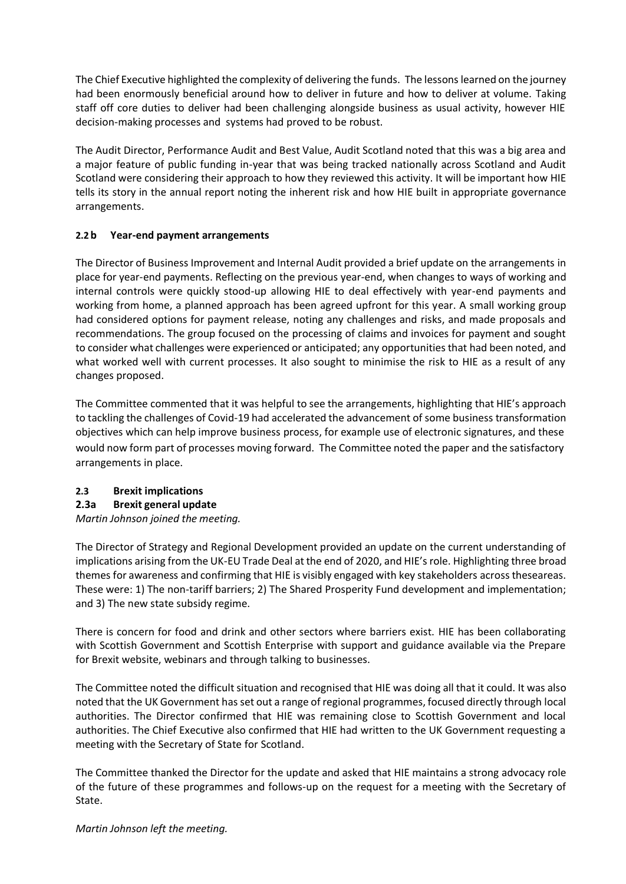The Chief Executive highlighted the complexity of delivering the funds. The lessons learned on the journey had been enormously beneficial around how to deliver in future and how to deliver at volume. Taking staff off core duties to deliver had been challenging alongside business as usual activity, however HIE decision-making processes and systems had proved to be robust.

The Audit Director, Performance Audit and Best Value, Audit Scotland noted that this was a big area and a major feature of public funding in-year that was being tracked nationally across Scotland and Audit Scotland were considering their approach to how they reviewed this activity. It will be important how HIE tells its story in the annual report noting the inherent risk and how HIE built in appropriate governance arrangements.

# **2.2 b Year-end payment arrangements**

The Director of Business Improvement and Internal Audit provided a brief update on the arrangements in place for year-end payments. Reflecting on the previous year-end, when changes to ways of working and internal controls were quickly stood-up allowing HIE to deal effectively with year-end payments and working from home, a planned approach has been agreed upfront for this year. A small working group had considered options for payment release, noting any challenges and risks, and made proposals and recommendations. The group focused on the processing of claims and invoices for payment and sought to consider what challenges were experienced or anticipated; any opportunities that had been noted, and what worked well with current processes. It also sought to minimise the risk to HIE as a result of any changes proposed.

The Committee commented that it was helpful to see the arrangements, highlighting that HIE's approach to tackling the challenges of Covid-19 had accelerated the advancement of some business transformation objectives which can help improve business process, for example use of electronic signatures, and these would now form part of processes moving forward. The Committee noted the paper and the satisfactory arrangements in place.

# **2.3 Brexit implications**

# **2.3a Brexit general update**

*Martin Johnson joined the meeting.*

The Director of Strategy and Regional Development provided an update on the current understanding of implications arising from the UK-EU Trade Deal at the end of 2020, and HIE's role. Highlighting three broad themes for awareness and confirming that HIE is visibly engaged with key stakeholders acrosstheseareas. These were: 1) The non-tariff barriers; 2) The Shared Prosperity Fund development and implementation; and 3) The new state subsidy regime.

There is concern for food and drink and other sectors where barriers exist. HIE has been collaborating with Scottish Government and Scottish Enterprise with support and guidance available via the Prepare for Brexit website, webinars and through talking to businesses.

The Committee noted the difficult situation and recognised that HIE was doing all that it could. It was also noted that the UK Government hasset out a range of regional programmes, focused directly through local authorities. The Director confirmed that HIE was remaining close to Scottish Government and local authorities. The Chief Executive also confirmed that HIE had written to the UK Government requesting a meeting with the Secretary of State for Scotland.

The Committee thanked the Director for the update and asked that HIE maintains a strong advocacy role of the future of these programmes and follows-up on the request for a meeting with the Secretary of State.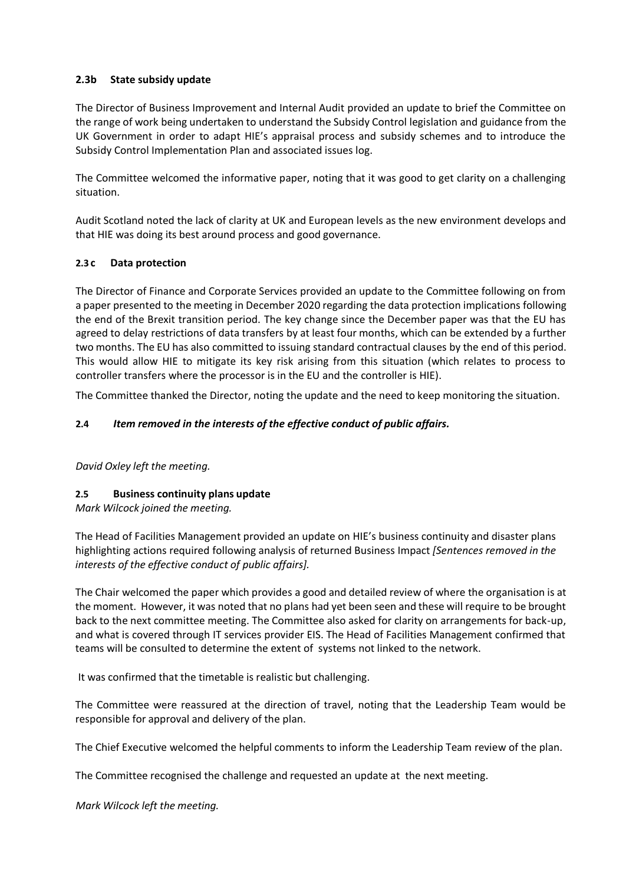### **2.3b State subsidy update**

The Director of Business Improvement and Internal Audit provided an update to brief the Committee on the range of work being undertaken to understand the Subsidy Control legislation and guidance from the UK Government in order to adapt HIE's appraisal process and subsidy schemes and to introduce the Subsidy Control Implementation Plan and associated issues log.

The Committee welcomed the informative paper, noting that it was good to get clarity on a challenging situation.

Audit Scotland noted the lack of clarity at UK and European levels as the new environment develops and that HIE was doing its best around process and good governance.

### **2.3 c Data protection**

The Director of Finance and Corporate Services provided an update to the Committee following on from a paper presented to the meeting in December 2020 regarding the data protection implications following the end of the Brexit transition period. The key change since the December paper was that the EU has agreed to delay restrictions of data transfers by at least four months, which can be extended by a further two months. The EU has also committed to issuing standard contractual clauses by the end of this period. This would allow HIE to mitigate its key risk arising from this situation (which relates to process to controller transfers where the processor is in the EU and the controller is HIE).

The Committee thanked the Director, noting the update and the need to keep monitoring the situation.

### **2.4** *Item removed in the interests of the effective conduct of public affairs.*

*David Oxley left the meeting.*

#### **2.5 Business continuity plans update**

*Mark Wilcock joined the meeting.*

The Head of Facilities Management provided an update on HIE's business continuity and disaster plans highlighting actions required following analysis of returned Business Impact *[Sentences removed in the interests of the effective conduct of public affairs].*

The Chair welcomed the paper which provides a good and detailed review of where the organisation is at the moment. However, it was noted that no plans had yet been seen and these will require to be brought back to the next committee meeting. The Committee also asked for clarity on arrangements for back-up, and what is covered through IT services provider EIS. The Head of Facilities Management confirmed that teams will be consulted to determine the extent of systems not linked to the network.

It was confirmed that the timetable is realistic but challenging.

The Committee were reassured at the direction of travel, noting that the Leadership Team would be responsible for approval and delivery of the plan.

The Chief Executive welcomed the helpful comments to inform the Leadership Team review of the plan.

The Committee recognised the challenge and requested an update at the next meeting.

#### *Mark Wilcock left the meeting.*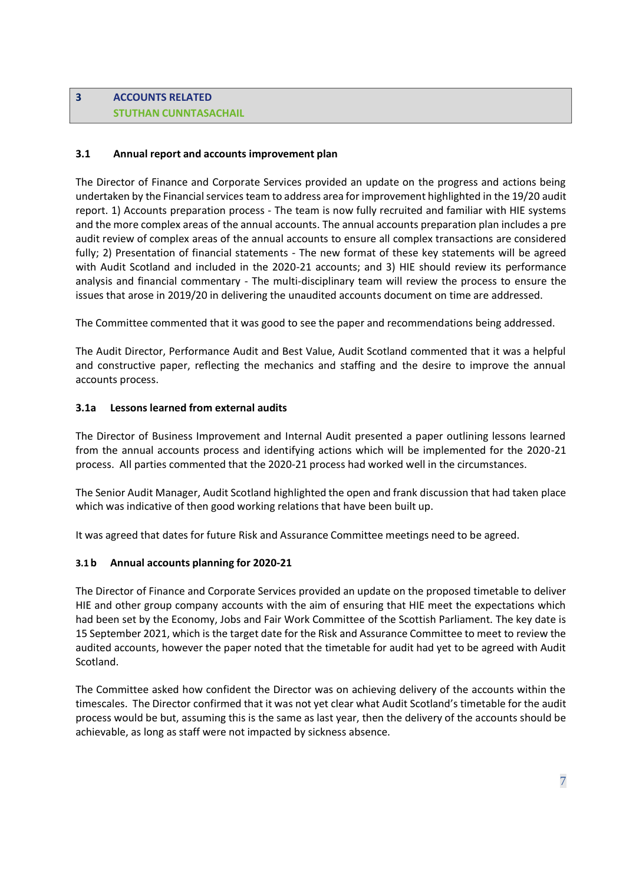# **3 ACCOUNTS RELATED STUTHAN CUNNTASACHAIL**

### **3.1 Annual report and accounts improvement plan**

The Director of Finance and Corporate Services provided an update on the progress and actions being undertaken by the Financial services team to address area for improvement highlighted in the 19/20 audit report. 1) Accounts preparation process - The team is now fully recruited and familiar with HIE systems and the more complex areas of the annual accounts. The annual accounts preparation plan includes a pre audit review of complex areas of the annual accounts to ensure all complex transactions are considered fully; 2) Presentation of financial statements - The new format of these key statements will be agreed with Audit Scotland and included in the 2020-21 accounts; and 3) HIE should review its performance analysis and financial commentary - The multi-disciplinary team will review the process to ensure the issues that arose in 2019/20 in delivering the unaudited accounts document on time are addressed.

The Committee commented that it was good to see the paper and recommendations being addressed.

The Audit Director, Performance Audit and Best Value, Audit Scotland commented that it was a helpful and constructive paper, reflecting the mechanics and staffing and the desire to improve the annual accounts process.

### **3.1a Lessons learned from external audits**

The Director of Business Improvement and Internal Audit presented a paper outlining lessons learned from the annual accounts process and identifying actions which will be implemented for the 2020-21 process. All parties commented that the 2020-21 process had worked well in the circumstances.

The Senior Audit Manager, Audit Scotland highlighted the open and frank discussion that had taken place which was indicative of then good working relations that have been built up.

It was agreed that dates for future Risk and Assurance Committee meetings need to be agreed.

#### **3.1 b Annual accounts planning for 2020-21**

The Director of Finance and Corporate Services provided an update on the proposed timetable to deliver HIE and other group company accounts with the aim of ensuring that HIE meet the expectations which had been set by the Economy, Jobs and Fair Work Committee of the Scottish Parliament. The key date is 15 September 2021, which is the target date for the Risk and Assurance Committee to meet to review the audited accounts, however the paper noted that the timetable for audit had yet to be agreed with Audit Scotland.

The Committee asked how confident the Director was on achieving delivery of the accounts within the timescales. The Director confirmed that it was not yet clear what Audit Scotland's timetable for the audit process would be but, assuming this is the same as last year, then the delivery of the accounts should be achievable, as long as staff were not impacted by sickness absence.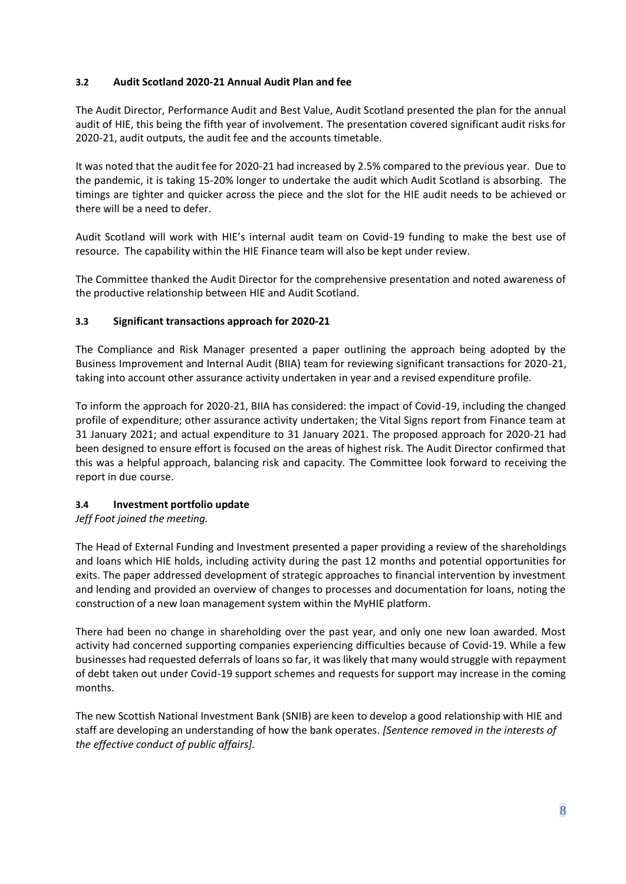# **3.2 Audit Scotland 2020-21 Annual Audit Plan and fee**

The Audit Director, Performance Audit and Best Value, Audit Scotland presented the plan for the annual audit of HIE, this being the fifth year of involvement. The presentation covered significant audit risks for 2020-21, audit outputs, the audit fee and the accounts timetable.

It was noted that the audit fee for 2020-21 had increased by 2.5% compared to the previous year. Due to the pandemic, it is taking 15-20% longer to undertake the audit which Audit Scotland is absorbing. The timings are tighter and quicker across the piece and the slot for the HIE audit needs to be achieved or there will be a need to defer.

Audit Scotland will work with HIE's internal audit team on Covid-19 funding to make the best use of resource. The capability within the HIE Finance team will also be kept under review.

The Committee thanked the Audit Director for the comprehensive presentation and noted awareness of the productive relationship between HIE and Audit Scotland.

# **3.3 Significant transactions approach for 2020-21**

The Compliance and Risk Manager presented a paper outlining the approach being adopted by the Business Improvement and Internal Audit (BIIA) team for reviewing significant transactions for 2020-21, taking into account other assurance activity undertaken in year and a revised expenditure profile.

To inform the approach for 2020-21, BIIA has considered: the impact of Covid-19, including the changed profile of expenditure; other assurance activity undertaken; the Vital Signs report from Finance team at 31 January 2021; and actual expenditure to 31 January 2021. The proposed approach for 2020-21 had been designed to ensure effort is focused on the areas of highest risk. The Audit Director confirmed that this was a helpful approach, balancing risk and capacity. The Committee look forward to receiving the report in due course.

# **3.4 Investment portfolio update**

*Jeff Foot joined the meeting.*

The Head of External Funding and Investment presented a paper providing a review of the shareholdings and loans which HIE holds, including activity during the past 12 months and potential opportunities for exits. The paper addressed development of strategic approaches to financial intervention by investment and lending and provided an overview of changes to processes and documentation for loans, noting the construction of a new loan management system within the MyHIE platform.

There had been no change in shareholding over the past year, and only one new loan awarded. Most activity had concerned supporting companies experiencing difficulties because of Covid-19. While a few businesses had requested deferrals of loans so far, it was likely that many would struggle with repayment of debt taken out under Covid-19 support schemes and requests for support may increase in the coming months.

The new Scottish National Investment Bank (SNIB) are keen to develop a good relationship with HIE and staff are developing an understanding of how the bank operates. *[Sentence removed in the interests of the effective conduct of public affairs].*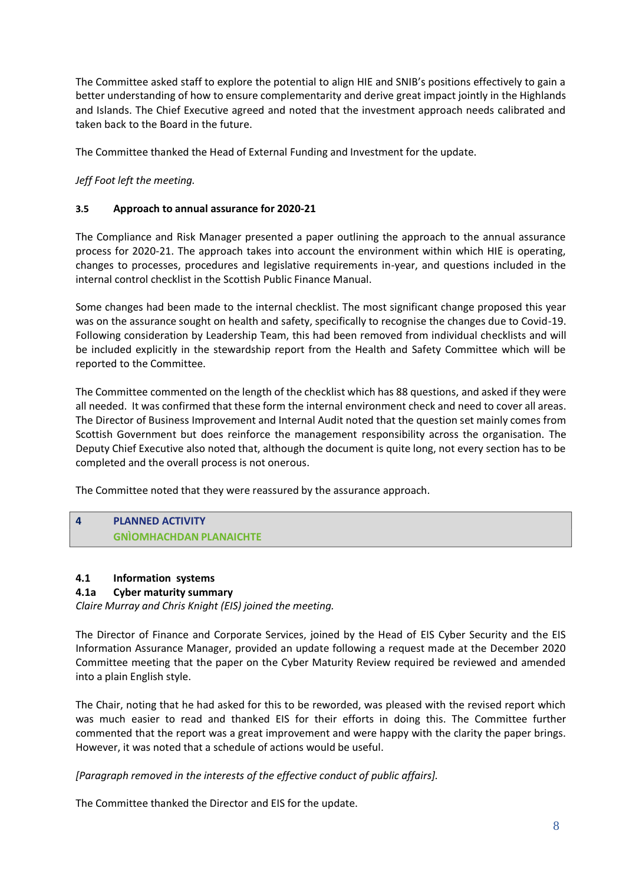The Committee asked staff to explore the potential to align HIE and SNIB's positions effectively to gain a better understanding of how to ensure complementarity and derive great impact jointly in the Highlands and Islands. The Chief Executive agreed and noted that the investment approach needs calibrated and taken back to the Board in the future.

The Committee thanked the Head of External Funding and Investment for the update.

*Jeff Foot left the meeting.*

# **3.5 Approach to annual assurance for 2020-21**

The Compliance and Risk Manager presented a paper outlining the approach to the annual assurance process for 2020-21. The approach takes into account the environment within which HIE is operating, changes to processes, procedures and legislative requirements in-year, and questions included in the internal control checklist in the Scottish Public Finance Manual.

Some changes had been made to the internal checklist. The most significant change proposed this year was on the assurance sought on health and safety, specifically to recognise the changes due to Covid-19. Following consideration by Leadership Team, this had been removed from individual checklists and will be included explicitly in the stewardship report from the Health and Safety Committee which will be reported to the Committee.

The Committee commented on the length of the checklist which has 88 questions, and asked if they were all needed. It was confirmed that these form the internal environment check and need to cover all areas. The Director of Business Improvement and Internal Audit noted that the question set mainly comes from Scottish Government but does reinforce the management responsibility across the organisation. The Deputy Chief Executive also noted that, although the document is quite long, not every section has to be completed and the overall process is not onerous.

The Committee noted that they were reassured by the assurance approach.

# **4 PLANNED ACTIVITY GNÌOMHACHDAN PLANAICHTE**

# **4.1 Information systems**

# **4.1a Cyber maturity summary**

*Claire Murray and Chris Knight (EIS) joined the meeting.*

The Director of Finance and Corporate Services, joined by the Head of EIS Cyber Security and the EIS Information Assurance Manager, provided an update following a request made at the December 2020 Committee meeting that the paper on the Cyber Maturity Review required be reviewed and amended into a plain English style.

The Chair, noting that he had asked for this to be reworded, was pleased with the revised report which was much easier to read and thanked EIS for their efforts in doing this. The Committee further commented that the report was a great improvement and were happy with the clarity the paper brings. However, it was noted that a schedule of actions would be useful.

*[Paragraph removed in the interests of the effective conduct of public affairs].*

The Committee thanked the Director and EIS for the update.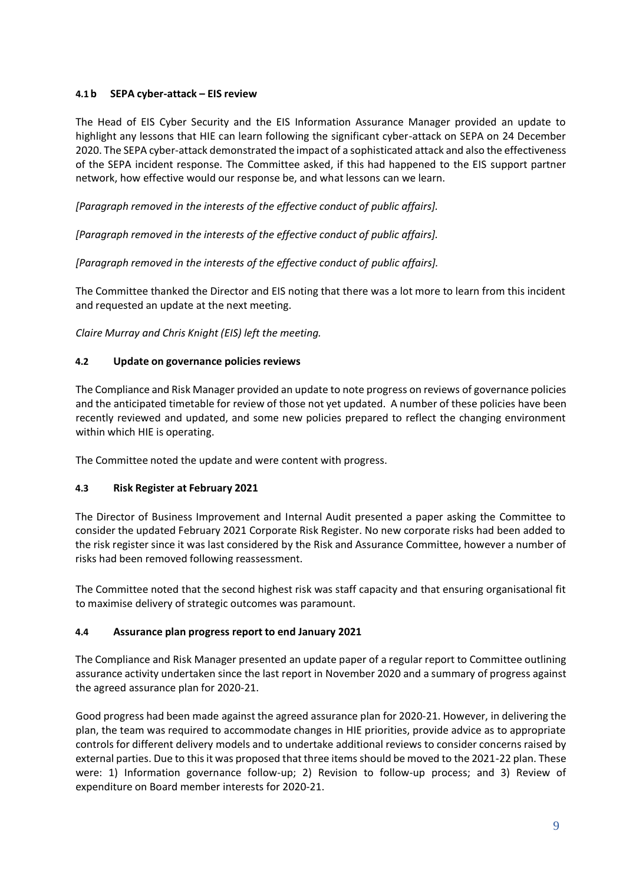# **4.1 b SEPA cyber-attack – EIS review**

The Head of EIS Cyber Security and the EIS Information Assurance Manager provided an update to highlight any lessons that HIE can learn following the significant cyber-attack on SEPA on 24 December 2020. The SEPA cyber-attack demonstrated the impact of a sophisticated attack and also the effectiveness of the SEPA incident response. The Committee asked, if this had happened to the EIS support partner network, how effective would our response be, and what lessons can we learn.

*[Paragraph removed in the interests of the effective conduct of public affairs].*

*[Paragraph removed in the interests of the effective conduct of public affairs].*

*[Paragraph removed in the interests of the effective conduct of public affairs].*

The Committee thanked the Director and EIS noting that there was a lot more to learn from this incident and requested an update at the next meeting.

*Claire Murray and Chris Knight (EIS) left the meeting.*

# **4.2 Update on governance policies reviews**

The Compliance and Risk Manager provided an update to note progress on reviews of governance policies and the anticipated timetable for review of those not yet updated. A number of these policies have been recently reviewed and updated, and some new policies prepared to reflect the changing environment within which HIE is operating.

The Committee noted the update and were content with progress.

# **4.3 Risk Register at February 2021**

The Director of Business Improvement and Internal Audit presented a paper asking the Committee to consider the updated February 2021 Corporate Risk Register. No new corporate risks had been added to the risk register since it was last considered by the Risk and Assurance Committee, however a number of risks had been removed following reassessment.

The Committee noted that the second highest risk was staff capacity and that ensuring organisational fit to maximise delivery of strategic outcomes was paramount.

# **4.4 Assurance plan progress report to end January 2021**

The Compliance and Risk Manager presented an update paper of a regular report to Committee outlining assurance activity undertaken since the last report in November 2020 and a summary of progress against the agreed assurance plan for 2020-21.

Good progress had been made against the agreed assurance plan for 2020-21. However, in delivering the plan, the team was required to accommodate changes in HIE priorities, provide advice as to appropriate controls for different delivery models and to undertake additional reviews to consider concerns raised by external parties. Due to this it was proposed that three items should be moved to the 2021-22 plan. These were: 1) Information governance follow-up; 2) Revision to follow-up process; and 3) Review of expenditure on Board member interests for 2020-21.